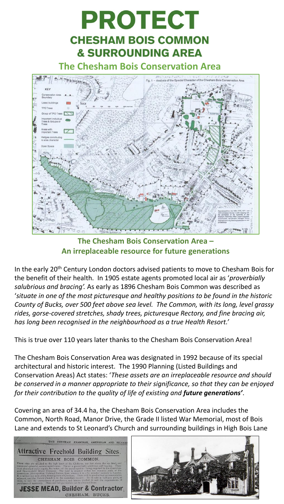

**The Chesham Bois Conservation Area – An irreplaceable resource for future generations**

In the early 20<sup>th</sup> Century London doctors advised patients to move to Chesham Bois for the benefit of their health. In 1905 estate agents promoted local air as '*proverbially salubrious and bracing'.* As early as 1896 Chesham Bois Common was described as '*situate in one of the most picturesque and healthy positions to be found in the historic County of Bucks, over 500 feet above sea level. The Common, with its long, level grassy rides, gorse-covered stretches, shady trees, picturesque Rectory, and fine bracing air, has long been recognised in the neighbourhood as a true Health Resort.'*

This is true over 110 years later thanks to the Chesham Bois Conservation Area!

The Chesham Bois Conservation Area was designated in 1992 because of its special architectural and historic interest. The 1990 Planning (Listed Buildings and Conservation Areas) Act states: '*These assets are an irreplaceable resource and should be conserved in a manner appropriate to their significance, so that they can be enjoyed for their contribution to the quality of life of existing and future generations'*.

Covering an area of 34.4 ha, the Chesham Bois Conservation Area includes the Common, North Road, Manor Drive, the Grade II listed War Memorial, most of Bois Lane and extends to St Leonard's Church and surrounding buildings in High Bois Lane



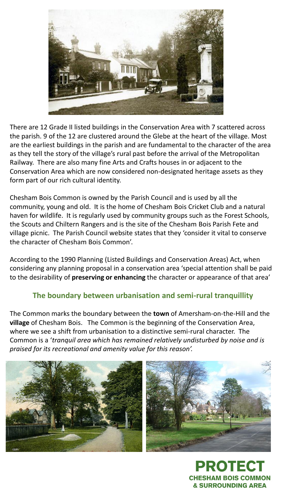

There are 12 Grade II listed buildings in the Conservation Area with 7 scattered across the parish. 9 of the 12 are clustered around the Glebe at the heart of the village. Most are the earliest buildings in the parish and are fundamental to the character of the area as they tell the story of the village's rural past before the arrival of the Metropolitan Railway. There are also many fine Arts and Crafts houses in or adjacent to the Conservation Area which are now considered non-designated heritage assets as they form part of our rich cultural identity.

Chesham Bois Common is owned by the Parish Council and is used by all the community, young and old. It is the home of Chesham Bois Cricket Club and a natural haven for wildlife. It is regularly used by community groups such as the Forest Schools, the Scouts and Chiltern Rangers and is the site of the Chesham Bois Parish Fete and village picnic. The Parish Council website states that they 'consider it vital to conserve the character of Chesham Bois Common'.

According to the 1990 Planning (Listed Buildings and Conservation Areas) Act, when considering any planning proposal in a conservation area 'special attention shall be paid to the desirability of **preserving or enhancing** the character or appearance of that area'

## **The boundary between urbanisation and semi-rural tranquillity**

The Common marks the boundary between the **town** of Amersham-on-the-Hill and the **village** of Chesham Bois. The Common is the beginning of the Conservation Area, where we see a shift from urbanisation to a distinctive semi-rural character. The Common is a '*tranquil area which has remained relatively undisturbed by noise and is praised for its recreational and amenity value for this reason'.* 



PROTE **CHESHAM BOIS COMMON & SURROUNDING AREA**